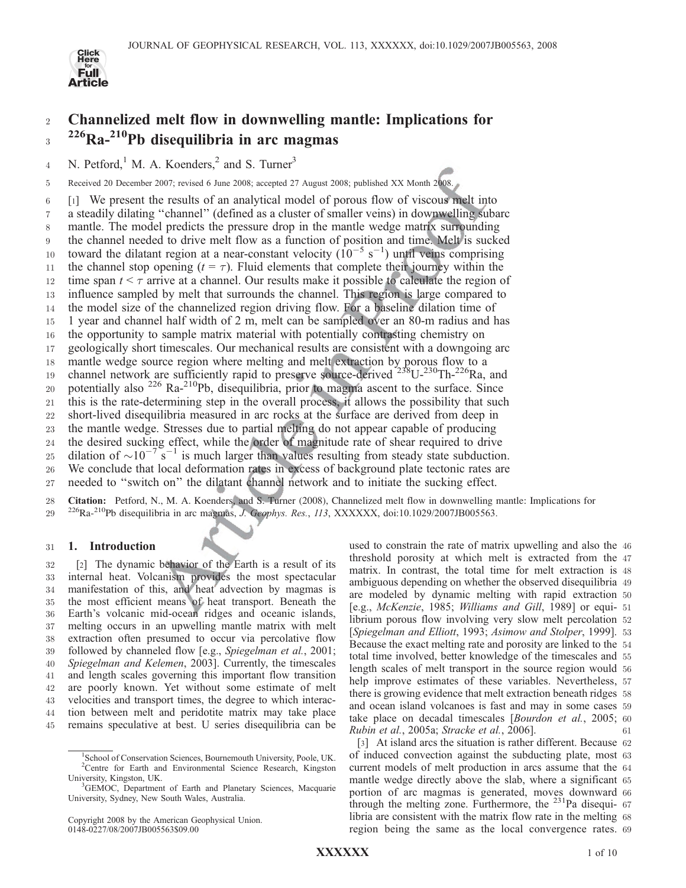

# <sup>2</sup> Channelized melt flow in downwelling mantle: Implications for 3 226Ra-210Pb disequilibria in arc magmas

4 N. Petford,<sup>1</sup> M. A. Koenders,<sup>2</sup> and S. Turner<sup>3</sup>

5 Received 20 December 2007; revised 6 June 2008; accepted 27 August 2008; published XX Month 2008.

6 [1] We present the results of an analytical model of porous flow of viscous melt into

7 a steadily dilating ''channel'' (defined as a cluster of smaller veins) in downwelling subarc 8 mantle. The model predicts the pressure drop in the mantle wedge matrix surrounding

9 the channel needed to drive melt flow as a function of position and time. Melt is sucked

10 toward the dilatant region at a near-constant velocity  $(10^{-5} s^{-1})$  until veins comprising

11 the channel stop opening  $(t = \tau)$ . Fluid elements that complete their journey within the 12 time span  $t \leq \tau$  arrive at a channel. Our results make it possible to calculate the region of

13 influence sampled by melt that surrounds the channel. This region is large compared to

14 the model size of the channelized region driving flow. For a baseline dilation time of

15 1 year and channel half width of 2 m, melt can be sampled over an 80-m radius and has

16 the opportunity to sample matrix material with potentially contrasting chemistry on

17 geologically short timescales. Our mechanical results are consistent with a downgoing arc

18 mantle wedge source region where melting and melt extraction by porous flow to a

19 channel network are sufficiently rapid to preserve source-derived <sup>238</sup>U-<sup>230</sup>Th-<sup>226</sup>Ra, and

20 potentially also <sup>226</sup> Ra-<sup>210</sup>Pb, disequilibria, prior to magma ascent to the surface. Since

21 this is the rate-determining step in the overall process, it allows the possibility that such

22 short-lived disequilibria measured in arc rocks at the surface are derived from deep in

23 the mantle wedge. Stresses due to partial melting do not appear capable of producing

24 the desired sucking effect, while the order of magnitude rate of shear required to drive

25 dilation of  $\sim 10^{-7}$  s<sup>-1</sup> is much larger than values resulting from steady state subduction. 26 We conclude that local deformation rates in excess of background plate tectonic rates are

27 needed to ''switch on'' the dilatant channel network and to initiate the sucking effect.

28 Citation: Petford, N., M. A. Koenders, and S. Turner (2008), Channelized melt flow in downwelling mantle: Implications for 29 <sup>226</sup>Ra-<sup>210</sup>Pb disequilibria in arc magmas, *J. Geophys. Res., 113, XXXXXX*, doi:10.1029/2007JB005563.

# 31 1. Introduction

 [2] The dynamic behavior of the Earth is a result of its internal heat. Volcanism provides the most spectacular manifestation of this, and heat advection by magmas is the most efficient means of heat transport. Beneath the Earth's volcanic mid-ocean ridges and oceanic islands, melting occurs in an upwelling mantle matrix with melt extraction often presumed to occur via percolative flow followed by channeled flow [e.g., Spiegelman et al., 2001; Spiegelman and Kelemen, 2003]. Currently, the timescales and length scales governing this important flow transition are poorly known. Yet without some estimate of melt velocities and transport times, the degree to which interac- tion between melt and peridotite matrix may take place remains speculative at best. U series disequilibria can be

used to constrain the rate of matrix upwelling and also the 46 threshold porosity at which melt is extracted from the 47 matrix. In contrast, the total time for melt extraction is 48 ambiguous depending on whether the observed disequilibria 49 are modeled by dynamic melting with rapid extraction 50 [e.g., McKenzie, 1985; Williams and Gill, 1989] or equi- 51 librium porous flow involving very slow melt percolation 52 [Spiegelman and Elliott, 1993; Asimow and Stolper, 1999]. 53 Because the exact melting rate and porosity are linked to the 54 total time involved, better knowledge of the timescales and 55 length scales of melt transport in the source region would 56 help improve estimates of these variables. Nevertheless, 57 there is growing evidence that melt extraction beneath ridges 58 and ocean island volcanoes is fast and may in some cases 59 take place on decadal timescales [Bourdon et al., 2005; 60 Rubin et al.,  $2005a$ ; Stracke et al.,  $2006$ ].

[3] At island arcs the situation is rather different. Because 62 of induced convection against the subducting plate, most 63 current models of melt production in arcs assume that the 64 mantle wedge directly above the slab, where a significant 65 portion of arc magmas is generated, moves downward 66 through the melting zone. Furthermore, the  $^{231}$ Pa disequi-67 libria are consistent with the matrix flow rate in the melting 68 region being the same as the local convergence rates. 69

XXXXXX 1 of 10

<sup>1</sup> School of Conservation Sciences, Bournemouth University, Poole, UK. <sup>2</sup>Centre for Earth and Environmental Science Research, Kingston University, Kingston, UK. <sup>3</sup>

<sup>&</sup>lt;sup>3</sup>GEMOC, Department of Earth and Planetary Sciences, Macquarie University, Sydney, New South Wales, Australia.

Copyright 2008 by the American Geophysical Union. 0148-0227/08/2007JB005563\$09.00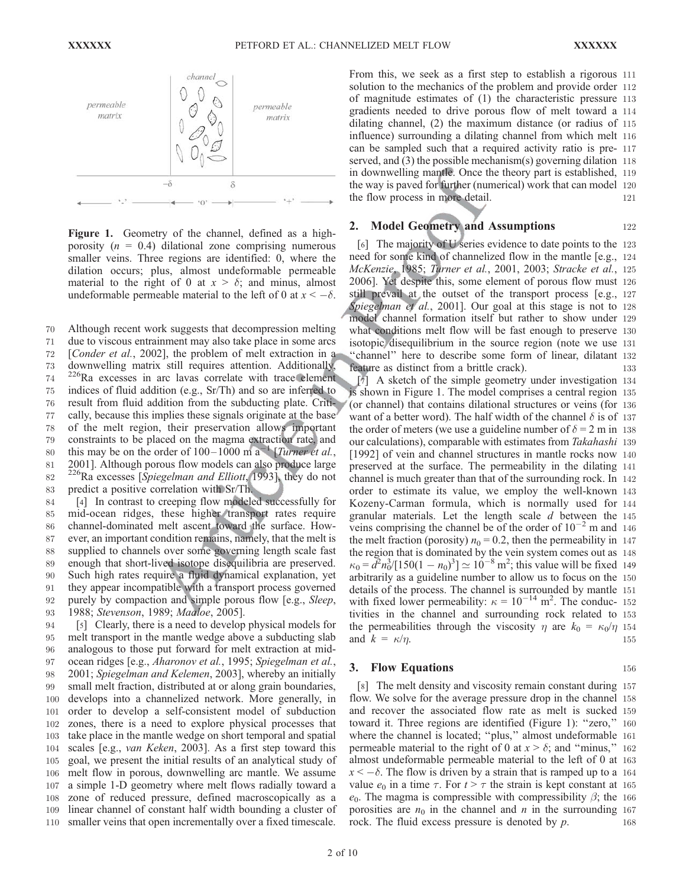

Figure 1. Geometry of the channel, defined as a highporosity ( $n = 0.4$ ) dilational zone comprising numerous smaller veins. Three regions are identified: 0, where the dilation occurs; plus, almost undeformable permeable material to the right of 0 at  $x > \delta$ ; and minus, almost undeformable permeable material to the left of 0 at  $x < -\delta$ .

70 Although recent work suggests that decompression melting

 due to viscous entrainment may also take place in some arcs [Conder et al., 2002], the problem of melt extraction in a downwelling matrix still requires attention. Additionally, 226Ra excesses in arc lavas correlate with trace element indices of fluid addition (e.g., Sr/Th) and so are inferred to result from fluid addition from the subducting plate. Criti- cally, because this implies these signals originate at the base of the melt region, their preservation allows important constraints to be placed on the magma extraction rate, and 80 this may be on the order of  $100-1000$  m a<sup>-1</sup> [*Turner et al.*, 2001]. Although porous flow models can also produce large  $^{226}$ Ra excesses [*Spiegelman and Elliott*, 1993], they do not predict a positive correlation with Sr/Th.

 [4] In contrast to creeping flow modeled successfully for mid-ocean ridges, these higher transport rates require channel-dominated melt ascent toward the surface. How- ever, an important condition remains, namely, that the melt is supplied to channels over some governing length scale fast enough that short-lived isotope disequilibria are preserved. Such high rates require a fluid dynamical explanation, yet they appear incompatible with a transport process governed 92 purely by compaction and simple porous flow [e.g., *Sleep*, 1988; Stevenson, 1989; Maaloe, 2005].

 [5] Clearly, there is a need to develop physical models for melt transport in the mantle wedge above a subducting slab analogous to those put forward for melt extraction at mid-97 ocean ridges [e.g., Aharonov et al., 1995; Spiegelman et al., 2001; Spiegelman and Kelemen, 2003], whereby an initially small melt fraction, distributed at or along grain boundaries, develops into a channelized network. More generally, in order to develop a self-consistent model of subduction zones, there is a need to explore physical processes that take place in the mantle wedge on short temporal and spatial scales [e.g., van Keken, 2003]. As a first step toward this goal, we present the initial results of an analytical study of melt flow in porous, downwelling arc mantle. We assume a simple 1-D geometry where melt flows radially toward a zone of reduced pressure, defined macroscopically as a linear channel of constant half width bounding a cluster of smaller veins that open incrementally over a fixed timescale.

From this, we seek as a first step to establish a rigorous 111 solution to the mechanics of the problem and provide order 112 of magnitude estimates of (1) the characteristic pressure 113 gradients needed to drive porous flow of melt toward a 114 dilating channel, (2) the maximum distance (or radius of 115 influence) surrounding a dilating channel from which melt 116 can be sampled such that a required activity ratio is pre- 117 served, and (3) the possible mechanism(s) governing dilation 118 in downwelling mantle. Once the theory part is established, 119 the way is paved for further (numerical) work that can model 120 the flow process in more detail. 121

# **2. Model Geometry and Assumptions** 122

[6] The majority of U series evidence to date points to the 123 need for some kind of channelized flow in the mantle [e.g., 124 McKenzie, 1985; Turner et al., 2001, 2003; Stracke et al., 125 2006]. Yet despite this, some element of porous flow must 126 still prevail at the outset of the transport process [e.g., 127 Spiegelman et al., 2001]. Our goal at this stage is not to 128 model channel formation itself but rather to show under 129 what conditions melt flow will be fast enough to preserve 130 isotopic disequilibrium in the source region (note we use 131 "channel" here to describe some form of linear, dilatant 132 feature as distinct from a brittle crack). 133

[7] A sketch of the simple geometry under investigation 134 is shown in Figure 1. The model comprises a central region 135 (or channel) that contains dilational structures or veins (for 136 want of a better word). The half width of the channel  $\delta$  is of 137 the order of meters (we use a guideline number of  $\delta = 2$  m in 138 our calculations), comparable with estimates from Takahashi 139 [1992] of vein and channel structures in mantle rocks now 140 preserved at the surface. The permeability in the dilating 141 channel is much greater than that of the surrounding rock. In 142 order to estimate its value, we employ the well-known 143 Kozeny-Carman formula, which is normally used for 144 granular materials. Let the length scale  $d$  between the 145 veins comprising the channel be of the order of  $10^{-2}$  m and 146 the melt fraction (porosity)  $n_0 = 0.2$ , then the permeability in 147 the region that is dominated by the vein system comes out as 148  $\kappa_0 = d^2 n_0^3/[150(1 - n_0)^3] \simeq 10^{-8} \text{ m}^2$ ; this value will be fixed 149 arbitrarily as a guideline number to allow us to focus on the 150 details of the process. The channel is surrounded by mantle 151 with fixed lower permeability:  $\kappa = 10^{-14}$  m<sup>2</sup>. The conduc- 152 tivities in the channel and surrounding rock related to 153 the permeabilities through the viscosity  $\eta$  are  $k_0 = \kappa_0/\eta$  154 and  $k = \kappa/n$  155 and  $k = \kappa/\eta$ .

## 3. Flow Equations 156

[8] The melt density and viscosity remain constant during 157 flow. We solve for the average pressure drop in the channel 158 and recover the associated flow rate as melt is sucked 159 toward it. Three regions are identified (Figure 1): ''zero,'' 160 where the channel is located; "plus," almost undeformable 161 permeable material to the right of 0 at  $x > \delta$ ; and "minus," 162 almost undeformable permeable material to the left of 0 at 163  $x < -\delta$ . The flow is driven by a strain that is ramped up to a 164 value  $e_0$  in a time  $\tau$ . For  $t > \tau$  the strain is kept constant at 165  $e_0$ . The magma is compressible with compressibility  $\beta$ ; the 166 porosities are  $n_0$  in the channel and n in the surrounding 167 rock. The fluid excess pressure is denoted by  $p$ . 168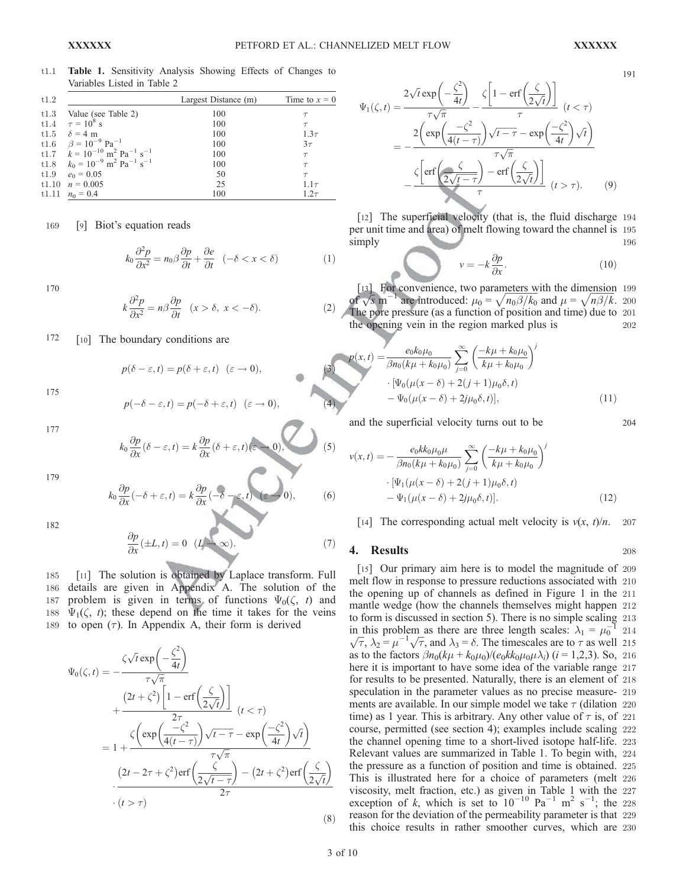191

t1.1 Table 1. Sensitivity Analysis Showing Effects of Changes to Variables Listed in Table 2

| t1.2 |                                                                      | Largest Distance (m) | Time to $x = 0$ |
|------|----------------------------------------------------------------------|----------------------|-----------------|
| t1.3 | Value (see Table 2)                                                  | 100                  |                 |
|      | t1.4 $\tau = 10^8$ s                                                 | 100                  | $\tau$          |
|      | t1.5 $\delta = 4$ m                                                  | 100                  | $1.3\tau$       |
|      | t1.6 $\beta = 10^{-9}$ Pa <sup>-1</sup>                              | 100                  | $3\tau$         |
|      | t1.7 $k = 10^{-10}$ m <sup>2</sup> Pa <sup>-1</sup> s <sup>-1</sup>  | 100                  | $\tau$          |
|      | t1.8 $k_0 = 10^{-9}$ m <sup>2</sup> Pa <sup>-1</sup> s <sup>-1</sup> | 100                  | $\tau$          |
|      | t1.9 $e_0 = 0.05$                                                    | 50                   | $\tau$          |
|      | t1.10 $n = 0.005$                                                    | 25                   | $1.1\tau$       |
|      | t1.11 $n_0 = 0.4$                                                    | 100                  | $1.2\tau$       |

169 [9] Biot's equation reads

$$
k_0 \frac{\partial^2 p}{\partial x^2} = n_0 \beta \frac{\partial p}{\partial t} + \frac{\partial e}{\partial t} \quad (-\delta < x < \delta) \tag{1}
$$

170

$$
k\frac{\partial^2 p}{\partial x^2} = n\beta \frac{\partial p}{\partial t} \quad (x > \delta, \ x < -\delta). \tag{2}
$$

# 172 [10] The boundary conditions are

175

$$
p(-\delta - \varepsilon, t) = p(-\delta + \varepsilon, t) \quad (\varepsilon \to 0), \tag{4}
$$

 $p(\delta - \varepsilon, t) = p(\delta + \varepsilon, t) \quad (\varepsilon \to 0),$ 

177

$$
k_0 \frac{\partial p}{\partial x} (\delta - \varepsilon, t) = k \frac{\partial p}{\partial x} (\delta + \varepsilon, t) (\varepsilon - 0), \qquad (5)
$$

179

$$
k_0 \frac{\partial p}{\partial x}(-\delta + \varepsilon, t) = k \frac{\partial p}{\partial x}(-\delta - \varepsilon, t) \quad (\varepsilon \to 0), \tag{6}
$$

182

$$
\frac{\partial p}{\partial x}(\pm L, t) = 0 \quad (L \to \infty). \tag{7}
$$

185 [11] The solution is obtained by Laplace transform. Full 186 details are given in Appendix A. The solution of the 187 problem is given in terms of functions  $\Psi_0(\zeta, t)$  and 188  $\Psi_1(\zeta, t)$ ; these depend on the time it takes for the veins 189 to open  $(\tau)$ . In Appendix A, their form is derived

$$
\Psi_0(\zeta, t) = -\frac{\zeta \sqrt{t} \exp\left(-\frac{\zeta^2}{4t}\right)}{\tau \sqrt{\pi}} \n+ \frac{\left(2t + \zeta^2\right) \left[1 - \text{erf}\left(\frac{\zeta}{2\sqrt{t}}\right)\right]}{2\tau} \quad (t < \tau) \n= 1 + \frac{\zeta\left(\exp\left(\frac{-\zeta^2}{4(t - \tau)}\right)\sqrt{t - \tau} - \exp\left(\frac{-\zeta^2}{4t}\right)\sqrt{t}\right)}{\tau \sqrt{\pi}} \n\cdot \frac{\left(2t - 2\tau + \zeta^2\right) \text{erf}\left(\frac{\zeta}{2\sqrt{t - \tau}}\right) - \left(2t + \zeta^2\right) \text{erf}\left(\frac{\zeta}{2\sqrt{t}}\right)}{2\tau} \n\cdot (t > \tau)
$$
\n(8)

$$
\Psi_{1}(\zeta,t) = \frac{2\sqrt{t}\exp\left(-\frac{\zeta^{2}}{4t}\right)}{\tau\sqrt{\pi}} - \frac{\zeta\left[1 - \text{erf}\left(\frac{\zeta}{2\sqrt{t}}\right)\right]}{\tau} \quad (t < \tau)
$$
\n
$$
= -\frac{2\left(\exp\left(\frac{-\zeta^{2}}{4(t-\tau)}\right)\sqrt{t-\tau} - \exp\left(\frac{-\zeta^{2}}{4t}\right)\sqrt{t}\right)}{\tau\sqrt{\pi}} - \frac{\zeta\left[\text{erf}\left(\frac{\zeta}{2\sqrt{t-\tau}}\right) - \text{erf}\left(\frac{\zeta}{2\sqrt{t}}\right)\right]}{\tau} \quad (t > \tau). \tag{9}
$$

[12] The superficial velocity (that is, the fluid discharge 194 per unit time and area) of melt flowing toward the channel is 195 simply 196

$$
v = -k \frac{\partial p}{\partial x}.\tag{10}
$$

For convenience, two parameters with the dimension 199 por convenience, two parameters with the dimension 199<br>of  $\sqrt{s}$  m<sup>-1</sup> are introduced:  $\mu_0 = \sqrt{n_0 \beta / k_0}$  and  $\mu = \sqrt{n_0 \beta / k_0}$ . The pore pressure (as a function of position and time) due to 201 the opening vein in the region marked plus is 202

$$
p(x,t) = \frac{e_0 k_0 \mu_0}{\beta n_0 (k\mu + k_0 \mu_0)} \sum_{j=0}^{\infty} \left( \frac{-k\mu + k_0 \mu_0}{k\mu + k_0 \mu_0} \right)^j
$$
  
 
$$
\cdot \left[ \Psi_0(\mu(x - \delta) + 2(j+1)\mu_0 \delta, t) - \Psi_0(\mu(x - \delta) + 2j\mu_0 \delta, t) \right],
$$
 (11)

and the superficial velocity turns out to be 204

$$
v(x,t) = -\frac{e_0 k k_0 \mu_0 \mu}{\beta n_0 (k \mu + k_0 \mu_0)} \sum_{j=0}^{\infty} \left( \frac{-k \mu + k_0 \mu_0}{k \mu + k_0 \mu_0} \right)^j
$$

$$
\cdot \left[ \Psi_1(\mu(x - \delta) + 2(j + 1)\mu_0 \delta, t) - \Psi_1(\mu(x - \delta) + 2j\mu_0 \delta, t) \right].
$$
 (12)

[14] The corresponding actual melt velocity is  $v(x, t)/n$ . 207

#### **4. Results** 208

[15] Our primary aim here is to model the magnitude of 209 melt flow in response to pressure reductions associated with 210 the opening up of channels as defined in Figure 1 in the 211 mantle wedge (how the channels themselves might happen 212 to form is discussed in section 5). There is no simple scaling 213 in this problem as there are three length scales:  $\lambda_1 = \mu_0^{-1}$  214 In this problem as there are three length scales:  $\lambda_1 - \mu_0$  214<br>  $\sqrt{\tau}$ ,  $\lambda_2 = \mu^{-1} \sqrt{\tau}$ , and  $\lambda_3 = \delta$ . The timescales are to  $\tau$  as well 215 as to the factors  $\beta n_0(k\mu + k_0\mu_0)/(e_0k k_0\mu_0\mu\lambda_i)$  (i = 1,2,3). So, 216 here it is important to have some idea of the variable range 217 for results to be presented. Naturally, there is an element of 218 speculation in the parameter values as no precise measure- 219 ments are available. In our simple model we take  $\tau$  (dilation 220) time) as 1 year. This is arbitrary. Any other value of  $\tau$  is, of 221 course, permitted (see section 4); examples include scaling 222 the channel opening time to a short-lived isotope half-life. 223 Relevant values are summarized in Table 1. To begin with, 224 the pressure as a function of position and time is obtained. 225 This is illustrated here for a choice of parameters (melt 226 viscosity, melt fraction, etc.) as given in Table 1 with the 227 exception of k, which is set to  $10^{-10}$  Pa<sup>-1</sup> m<sup>2</sup> s<sup>-1</sup>; the 228 reason for the deviation of the permeability parameter is that 229 this choice results in rather smoother curves, which are 230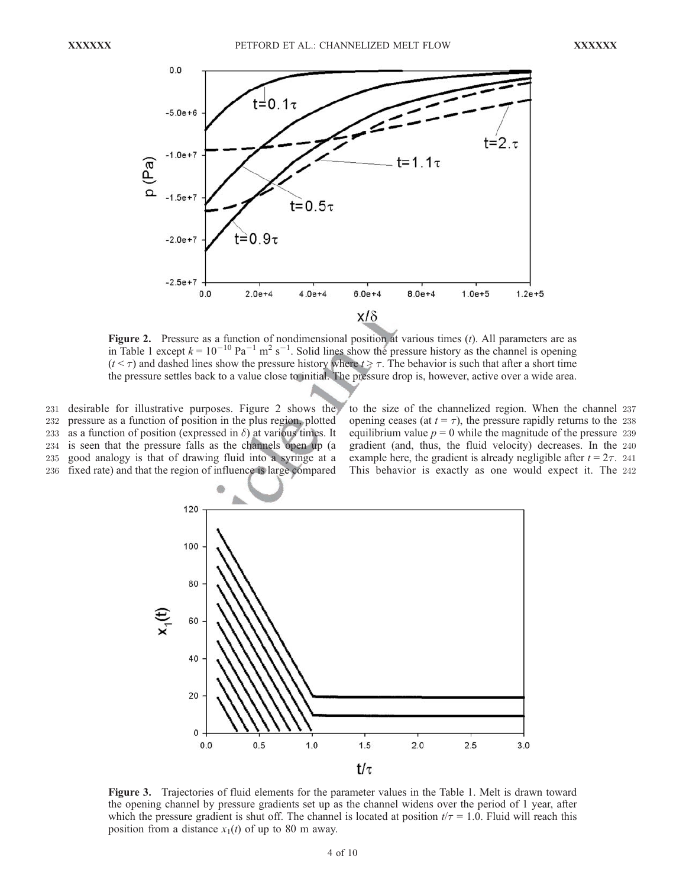

**Figure 2.** Pressure as a function of nondimensional position at various times  $(t)$ . All parameters are as in Table 1 except  $k = 10^{-10}$  Pa<sup>-1</sup> m<sup>2</sup> s<sup>-1</sup>. Solid lines show the pressure history as the channel is opening  $(t < \tau)$  and dashed lines show the pressure history where  $t \ge \tau$ . The behavior is such that after a short time the pressure settles back to a value close to initial. The pressure drop is, however, active over a wide area.

231 desirable for illustrative purposes. Figure 2 shows the 232 pressure as a function of position in the plus region, plotted 233 as a function of position (expressed in  $\delta$ ) at various times. It

234 is seen that the pressure falls as the channels open up (a

235 good analogy is that of drawing fluid into a syringe at a

236 fixed rate) and that the region of influence is large compared

to the size of the channelized region. When the channel 237 opening ceases (at  $t = \tau$ ), the pressure rapidly returns to the 238 equilibrium value  $p = 0$  while the magnitude of the pressure 239 gradient (and, thus, the fluid velocity) decreases. In the 240 example here, the gradient is already negligible after  $t = 2\tau$ . 241 This behavior is exactly as one would expect it. The 242



Figure 3. Trajectories of fluid elements for the parameter values in the Table 1. Melt is drawn toward the opening channel by pressure gradients set up as the channel widens over the period of 1 year, after which the pressure gradient is shut off. The channel is located at position  $t/\tau = 1.0$ . Fluid will reach this position from a distance  $x_1(t)$  of up to 80 m away.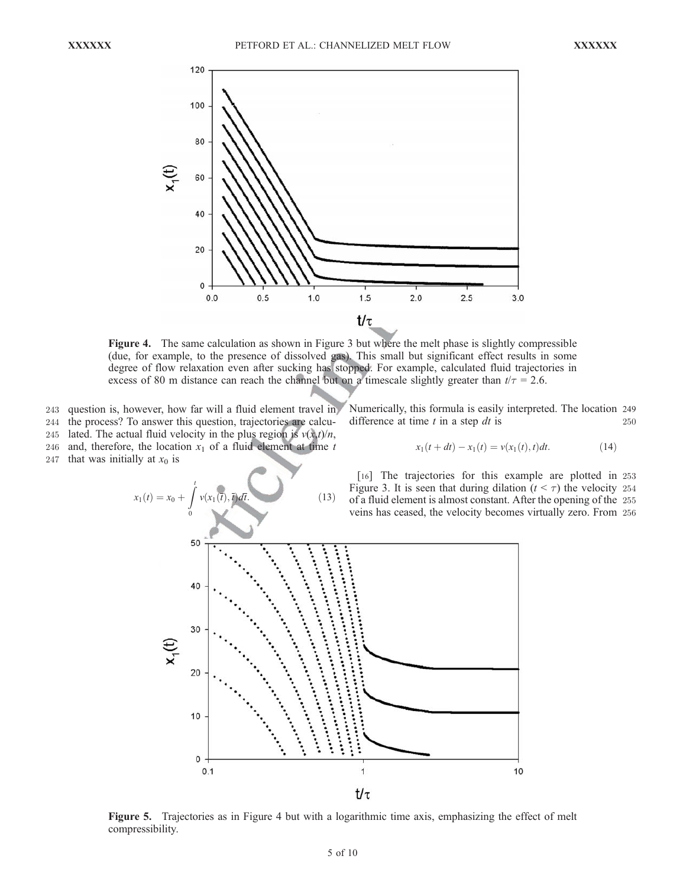

Figure 4. The same calculation as shown in Figure 3 but where the melt phase is slightly compressible (due, for example, to the presence of dissolved gas). This small but significant effect results in some degree of flow relaxation even after sucking has stopped. For example, calculated fluid trajectories in excess of 80 m distance can reach the channel but on a timescale slightly greater than  $t/\tau = 2.6$ .

243 question is, however, how far will a fluid element travel in

- 244 the process? To answer this question, trajectories are calcu-
- 245 lated. The actual fluid velocity in the plus region is  $v(x,t)/n$ ,
- 246 and, therefore, the location  $x_1$  of a fluid element at time t

247 that was initially at  $x_0$  is

$$
x_1(t) = x_0 + \int_0^t v(x_1(t), \bar{t}) dt.
$$
 (13)

Numerically, this formula is easily interpreted. The location 249 difference at time  $t$  in a step  $dt$  is 250

$$
x_1(t + dt) - x_1(t) = v(x_1(t), t)dt.
$$
 (14)

[16] The trajectories for this example are plotted in 253 Figure 3. It is seen that during dilation ( $t < \tau$ ) the velocity 254 of a fluid element is almost constant. After the opening of the 255 veins has ceased, the velocity becomes virtually zero. From 256



Figure 5. Trajectories as in Figure 4 but with a logarithmic time axis, emphasizing the effect of melt compressibility.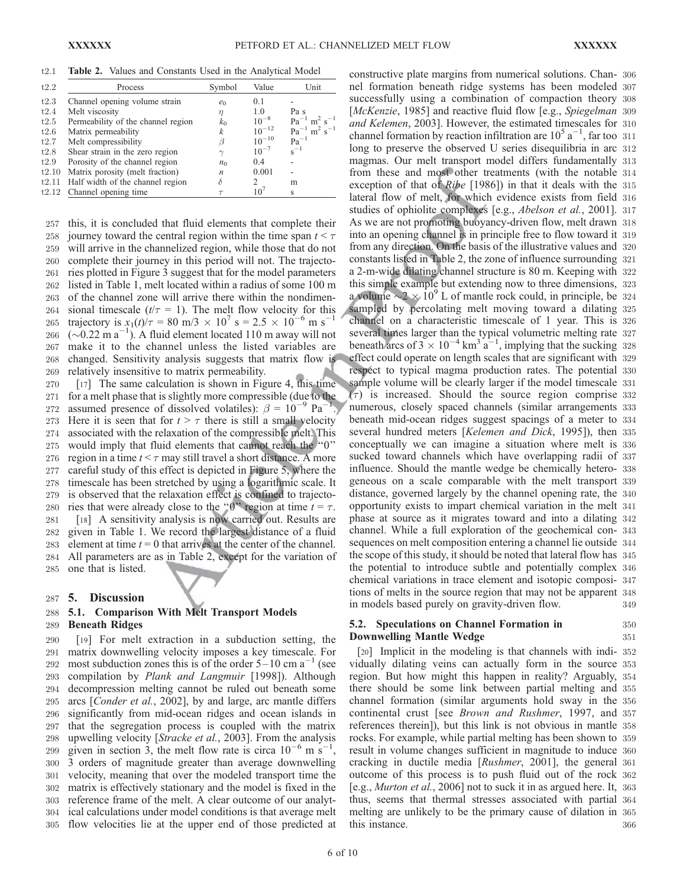t2.1 Table 2. Values and Constants Used in the Analytical Model

| Process                            | Symbol           | Value           | Unit                                     |
|------------------------------------|------------------|-----------------|------------------------------------------|
| Channel opening volume strain      | $e_0$            | 0.1             |                                          |
| Melt viscosity                     | $\eta$           | 1.0             | Pa s                                     |
| Permeability of the channel region | $k_0$            | $10^{-8}$       | $Pa^{-1}$ m <sup>2</sup> s <sup>-1</sup> |
| Matrix permeability                | k                | $10^{-12}$      | $Pa^{-1}$ m <sup>2</sup> s <sup>-1</sup> |
| Melt compressibility               | ß                | $10^{-10}$      | $Pa^{-1}$                                |
| Shear strain in the zero region    | $\gamma$         | $10^{-7}$       | $s^{-1}$                                 |
| Porosity of the channel region     | $n_0$            | 0.4             |                                          |
| Matrix porosity (melt fraction)    | $\boldsymbol{n}$ | 0.001           |                                          |
| Half width of the channel region   | δ                | 2               | m                                        |
| Channel opening time               |                  | 10 <sup>7</sup> | S                                        |

 this, it is concluded that fluid elements that complete their 258 journey toward the central region within the time span  $t < \tau$  will arrive in the channelized region, while those that do not complete their journey in this period will not. The trajecto- ries plotted in Figure 3 suggest that for the model parameters listed in Table 1, melt located within a radius of some 100 m of the channel zone will arrive there within the nondimen-264 sional timescale  $(t/\tau = 1)$ . The melt flow velocity for this 265 trajectory is  $x_1(t)/\tau = 80$  m/3  $\times$  10<sup>7</sup> s = 2.5  $\times$  10<sup>-6</sup> m s<sup>-1</sup> 266 ( $\sim$ 0.22 m a<sup>-1</sup>). A fluid element located 110 m away will not make it to the channel unless the listed variables are changed. Sensitivity analysis suggests that matrix flow is relatively insensitive to matrix permeability.

 [17] The same calculation is shown in Figure 4, this time for a melt phase that is slightly more compressible (due to the 272 assumed presence of dissolved volatiles):  $\beta = 10^{-9}$  Pa<sup>-1</sup>. 273 Here it is seen that for  $t > \tau$  there is still a small velocity associated with the relaxation of the compressible melt. This would imply that fluid elements that cannot reach the ''0'' 276 region in a time  $t < \tau$  may still travel a short distance. A more careful study of this effect is depicted in Figure 5, where the timescale has been stretched by using a logarithmic scale. It is observed that the relaxation effect is confined to trajecto-280 ries that were already close to the "0" region at time  $t = \tau$ . [18] A sensitivity analysis is now carried out. Results are given in Table 1. We record the largest distance of a fluid 283 element at time  $t = 0$  that arrives at the center of the channel. All parameters are as in Table 2, except for the variation of one that is listed.

# 287 5. Discussion

# 288 5.1. Comparison With Melt Transport Models 289 Beneath Ridges

 [19] For melt extraction in a subduction setting, the matrix downwelling velocity imposes a key timescale. For 292 most subduction zones this is of the order  $5-10$  cm a<sup>-1</sup> (see compilation by Plank and Langmuir [1998]). Although decompression melting cannot be ruled out beneath some arcs [Conder et al., 2002], by and large, arc mantle differs significantly from mid-ocean ridges and ocean islands in that the segregation process is coupled with the matrix upwelling velocity [Stracke et al., 2003]. From the analysis 299 given in section 3, the melt flow rate is circa  $10^{-6}$  m s<sup>-1</sup>, 3 orders of magnitude greater than average downwelling velocity, meaning that over the modeled transport time the matrix is effectively stationary and the model is fixed in the reference frame of the melt. A clear outcome of our analyt- ical calculations under model conditions is that average melt flow velocities lie at the upper end of those predicted at

constructive plate margins from numerical solutions. Chan- 306 nel formation beneath ridge systems has been modeled 307 successfully using a combination of compaction theory 308 [McKenzie, 1985] and reactive fluid flow [e.g., Spiegelman 309 and Kelemen, 2003]. However, the estimated timescales for 310 channel formation by reaction infiltration are  $10^5$  a<sup>-1</sup>, far too 311 long to preserve the observed U series disequilibria in arc 312 magmas. Our melt transport model differs fundamentally 313 from these and most other treatments (with the notable 314 exception of that of Ribe [1986]) in that it deals with the 315 lateral flow of melt, for which evidence exists from field 316 studies of ophiolite complexes [e.g., *Abelson et al.*, 2001]. 317 As we are not promoting buoyancy-driven flow, melt drawn 318 into an opening channel is in principle free to flow toward it 319 from any direction. On the basis of the illustrative values and 320 constants listed in Table 2, the zone of influence surrounding 321 a 2-m-wide dilating channel structure is 80 m. Keeping with 322 this simple example but extending now to three dimensions, 323 a volume  $\sim$  2  $\times$  10<sup>9</sup> L of mantle rock could, in principle, be 324 sampled by percolating melt moving toward a dilating 325 channel on a characteristic timescale of 1 year. This is 326 several times larger than the typical volumetric melting rate 327 beneath arcs of  $3 \times 10^{-4}$  km<sup>3</sup> a<sup>-1</sup>, implying that the sucking 328 effect could operate on length scales that are significant with 329 respect to typical magma production rates. The potential 330 sample volume will be clearly larger if the model timescale 331  $(\tau)$  is increased. Should the source region comprise 332 numerous, closely spaced channels (similar arrangements 333 beneath mid-ocean ridges suggest spacings of a meter to 334 several hundred meters [Kelemen and Dick, 1995]), then 335 conceptually we can imagine a situation where melt is 336 sucked toward channels which have overlapping radii of 337 influence. Should the mantle wedge be chemically hetero- 338 geneous on a scale comparable with the melt transport 339 distance, governed largely by the channel opening rate, the 340 opportunity exists to impart chemical variation in the melt 341 phase at source as it migrates toward and into a dilating 342 channel. While a full exploration of the geochemical con- 343 sequences on melt composition entering a channel lie outside 344 the scope of this study, it should be noted that lateral flow has 345 the potential to introduce subtle and potentially complex 346 chemical variations in trace element and isotopic composi- 347 tions of melts in the source region that may not be apparent 348 in models based purely on gravity-driven flow. 349

# 5.2. Speculations on Channel Formation in 350 **Downwelling Mantle Wedge 351**

[20] Implicit in the modeling is that channels with indi- 352 vidually dilating veins can actually form in the source 353 region. But how might this happen in reality? Arguably, 354 there should be some link between partial melting and 355 channel formation (similar arguments hold sway in the 356 continental crust [see Brown and Rushmer, 1997, and 357 references therein]), but this link is not obvious in mantle 358 rocks. For example, while partial melting has been shown to 359 result in volume changes sufficient in magnitude to induce 360 cracking in ductile media [Rushmer, 2001], the general 361 outcome of this process is to push fluid out of the rock 362 [e.g., Murton et al., 2006] not to suck it in as argued here. It, 363 thus, seems that thermal stresses associated with partial 364 melting are unlikely to be the primary cause of dilation in 365 this instance. 366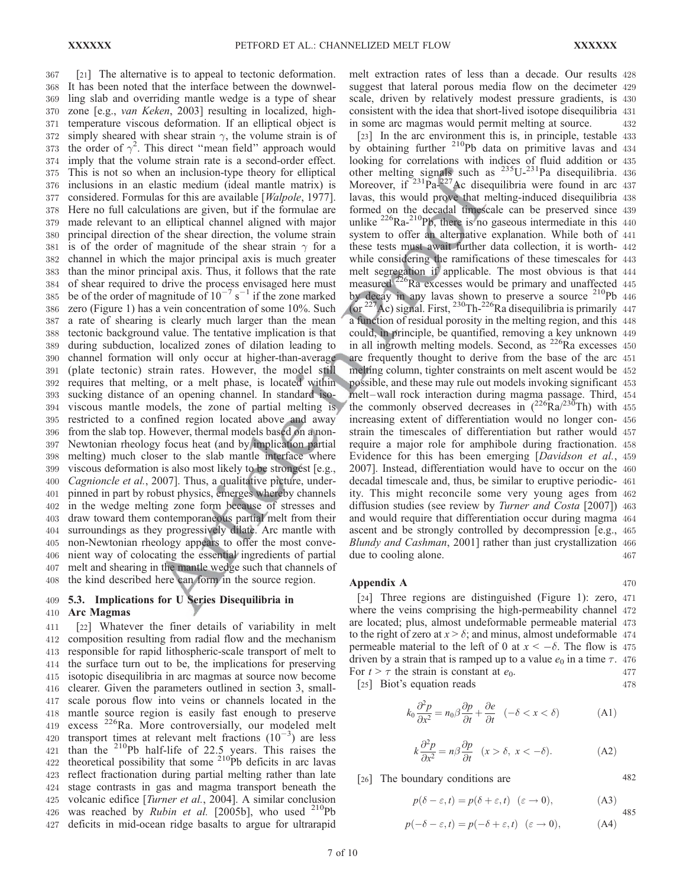[21] The alternative is to appeal to tectonic deformation. It has been noted that the interface between the downwel- ling slab and overriding mantle wedge is a type of shear zone [e.g., van Keken, 2003] resulting in localized, high- temperature viscous deformation. If an elliptical object is 372 simply sheared with shear strain  $\gamma$ , the volume strain is of 373 the order of  $\gamma^2$ . This direct "mean field" approach would imply that the volume strain rate is a second-order effect. This is not so when an inclusion-type theory for elliptical inclusions in an elastic medium (ideal mantle matrix) is 377 considered. Formulas for this are available [*Walpole*, 1977]. Here no full calculations are given, but if the formulae are made relevant to an elliptical channel aligned with major principal direction of the shear direction, the volume strain 381 is of the order of magnitude of the shear strain  $\gamma$  for a channel in which the major principal axis is much greater than the minor principal axis. Thus, it follows that the rate of shear required to drive the process envisaged here must 385 be of the order of magnitude of  $10^{-7}$  s<sup>-1</sup> if the zone marked zero (Figure 1) has a vein concentration of some 10%. Such a rate of shearing is clearly much larger than the mean tectonic background value. The tentative implication is that during subduction, localized zones of dilation leading to channel formation will only occur at higher-than-average (plate tectonic) strain rates. However, the model still requires that melting, or a melt phase, is located within sucking distance of an opening channel. In standard iso- viscous mantle models, the zone of partial melting is restricted to a confined region located above and away from the slab top. However, thermal models based on a non- Newtonian rheology focus heat (and by implication partial melting) much closer to the slab mantle interface where viscous deformation is also most likely to be strongest [e.g., 400 Cagnioncle et al., 2007]. Thus, a qualitative picture, under- pinned in part by robust physics, emerges whereby channels in the wedge melting zone form because of stresses and draw toward them contemporaneous partial melt from their surroundings as they progressively dilate. Arc mantle with non-Newtonian rheology appears to offer the most conve- nient way of colocating the essential ingredients of partial melt and shearing in the mantle wedge such that channels of the kind described here can form in the source region.

# 409 5.3. Implications for U Series Disequilibria in 410 Arc Magmas

 [22] Whatever the finer details of variability in melt composition resulting from radial flow and the mechanism responsible for rapid lithospheric-scale transport of melt to the surface turn out to be, the implications for preserving isotopic disequilibria in arc magmas at source now become clearer. Given the parameters outlined in section 3, small- scale porous flow into veins or channels located in the mantle source region is easily fast enough to preserve excess 226Ra. More controversially, our modeled melt 420 transport times at relevant melt fractions  $(10^{-3})$  are less than the <sup>210</sup>Pb half-life of 22.5 years. This raises the 422 theoretical possibility that some  $210^{6}$ Pb deficits in arc lavas reflect fractionation during partial melting rather than late stage contrasts in gas and magma transport beneath the volcanic edifice [Turner et al., 2004]. A similar conclusion 426 was reached by *Rubin et al.* [2005b], who used  $^{210}Pb$ deficits in mid-ocean ridge basalts to argue for ultrarapid melt extraction rates of less than a decade. Our results 428 suggest that lateral porous media flow on the decimeter 429 scale, driven by relatively modest pressure gradients, is 430 consistent with the idea that short-lived isotope disequilibria 431 in some arc magmas would permit melting at source. 432

[23] In the arc environment this is, in principle, testable 433 by obtaining further  $210Pb$  data on primitive lavas and  $434$ looking for correlations with indices of fluid addition or 435 other melting signals such as  $^{235}U^{-231}Pa$  disequilibria. 436 Moreover, if  $231\text{Pa}^{227}\text{Ac}$  disequilibria were found in arc 437 lavas, this would prove that melting-induced disequilibria 438 formed on the decadal timescale can be preserved since 439 unlike  $^{226}Ra^{-210}Pb$ , there is no gaseous intermediate in this 440 system to offer an alternative explanation. While both of 441 these tests must await further data collection, it is worth- 442 while considering the ramifications of these timescales for 443 melt segregation if applicable. The most obvious is that 444 measured  $^{226}$ Ra excesses would be primary and unaffected  $445$ by decay in any lavas shown to preserve a source  $210Pb$  446 (or  $^{227}$ Ac) signal. First,  $^{230}$ Th- $^{226}$ Ra disequilibria is primarily 447 a function of residual porosity in the melting region, and this 448 could, in principle, be quantified, removing a key unknown 449 in all ingrowth melting models. Second, as  $226$ Ra excesses  $450$ are frequently thought to derive from the base of the arc 451 melting column, tighter constraints on melt ascent would be 452 possible, and these may rule out models invoking significant 453 melt-wall rock interaction during magma passage. Third, 454 the commonly observed decreases in  $(^{226}Ra)^{230}Th$ ) with 455 increasing extent of differentiation would no longer con- 456 strain the timescales of differentiation but rather would 457 require a major role for amphibole during fractionation. 458 Evidence for this has been emerging [Davidson et al., 459 2007]. Instead, differentiation would have to occur on the 460 decadal timescale and, thus, be similar to eruptive periodic- 461 ity. This might reconcile some very young ages from 462 diffusion studies (see review by Turner and Costa [2007]) 463 and would require that differentiation occur during magma 464 ascent and be strongly controlled by decompression [e.g., 465 Blundy and Cashman, 2001] rather than just crystallization 466 due to cooling alone. 467

## Appendix A  $470$

[24] Three regions are distinguished (Figure 1): zero, 471 where the veins comprising the high-permeability channel 472 are located; plus, almost undeformable permeable material 473 to the right of zero at  $x > \delta$ ; and minus, almost undeformable 474 permeable material to the left of 0 at  $x < -\delta$ . The flow is 475 driven by a strain that is ramped up to a value  $e_0$  in a time  $\tau$ . 476 For  $t > \tau$  the strain is constant at  $e_0$ . 477 [25] Biot's equation reads 478

$$
k_0 \frac{\partial^2 p}{\partial x^2} = n_0 \beta \frac{\partial p}{\partial t} + \frac{\partial e}{\partial t} \quad (-\delta < x < \delta) \tag{A1}
$$

$$
k\frac{\partial^2 p}{\partial x^2} = n\beta \frac{\partial p}{\partial t} \quad (x > \delta, \ x < -\delta). \tag{A2}
$$

# [26] The boundary conditions are 482

i

 $p(\delta - \varepsilon, t) = p(\delta + \varepsilon, t) \quad (\varepsilon \to 0),$  (A3) 485

$$
p(-\delta - \varepsilon, t) = p(-\delta + \varepsilon, t) \quad (\varepsilon \to 0), \tag{A4}
$$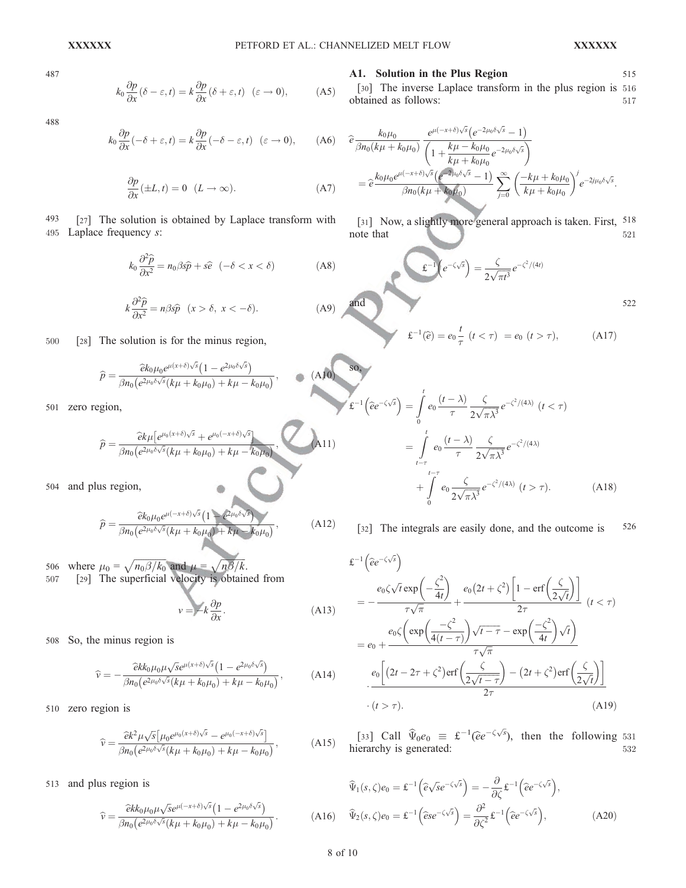so,

487

$$
k_0 \frac{\partial p}{\partial x} (\delta - \varepsilon, t) = k \frac{\partial p}{\partial x} (\delta + \varepsilon, t) \quad (\varepsilon \to 0), \tag{A5}
$$

488

$$
k_0 \frac{\partial p}{\partial x}(-\delta + \varepsilon, t) = k \frac{\partial p}{\partial x}(-\delta - \varepsilon, t) \quad (\varepsilon \to 0), \qquad (A6)
$$

$$
\frac{\partial p}{\partial x}(\pm L, t) = 0 \quad (L \to \infty). \tag{A7}
$$

493 [27] The solution is obtained by Laplace transform with 495 Laplace frequency s:

$$
k_0 \frac{\partial^2 \widehat{p}}{\partial x^2} = n_0 \beta s \widehat{p} + s \widehat{e} \quad (-\delta < x < \delta) \tag{A8}
$$

$$
k\frac{\partial^2 \hat{p}}{\partial x^2} = n\beta s\hat{p} \quad (x > \delta, \ x < -\delta). \tag{A9}
$$

500 [28] The solution is for the minus region,

$$
\widehat{p} = \frac{\widehat{e}k_0\mu_0 e^{\mu(x+\delta)\sqrt{s}}\left(1 - e^{2\mu_0\delta\sqrt{s}}\right)}{\beta n_0 \left(e^{2\mu_0\delta\sqrt{s}}(k\mu + k_0\mu_0) + k\mu - k_0\mu_0\right)},\tag{A10}
$$

501 zero region,

$$
\widehat{p} = \frac{\widehat{e}k\mu\left[e^{\mu_0(x+\delta)\sqrt{s}} + e^{\mu_0(-x+\delta)\sqrt{s}}\right]}{\beta n_0\left(e^{2\mu_0\delta\sqrt{s}}(k\mu + k_0\mu_0) + k\mu - k_0\mu_0\right)},\qquad \text{(A11)}
$$

504 and plus region,

$$
\widehat{p} = \frac{\widehat{e}k_0\mu_0 e^{\mu(-x+\delta)\sqrt{s}}\left(1 - e^{2\mu_0\delta\sqrt{s}}\right)}{\beta n_0 \left(e^{2\mu_0\delta\sqrt{s}}(k\mu + k_0\mu_0) + k\mu - k_0\mu_0\right)},\tag{A12}
$$

506 where  $\mu_0 = \sqrt{n_0 \beta / k_0}$  and  $\mu = \sqrt{n \beta / k}$ . 507 [29] The superficial velocity is obtained from

$$
v = -k \frac{\partial p}{\partial x}.
$$
 (A13)

508 So, the minus region is

$$
\widehat{v} = -\frac{\widehat{e}k k_0 \mu_0 \mu \sqrt{se^{\mu(x+\delta)\sqrt{s}} \left(1 - e^{2\mu_0 \delta \sqrt{s}}\right)}}{\beta n_0 \left(e^{2\mu_0 \delta \sqrt{s}} (k\mu + k_0 \mu_0) + k\mu - k_0 \mu_0\right)},\tag{A14}
$$

510 zero region is

$$
\widehat{v} = \frac{\widehat{e}k^2 \mu \sqrt{s} \left[ \mu_0 e^{\mu_0 (x+\delta)\sqrt{s}} - e^{\mu_0 (-x+\delta)\sqrt{s}} \right]}{\beta n_0 \left( e^{2\mu_0 \delta \sqrt{s}} (k\mu + k_0 \mu_0) + k\mu - k_0 \mu_0 \right)},\tag{A15}
$$

513 and plus region is

$$
\widehat{v} = \frac{\widehat{e}kk_0\mu_0\mu\sqrt{se^{\mu(-x+\delta)\sqrt{s}}}\left(1 - e^{2\mu_0\delta\sqrt{s}}\right)}{\beta n_0 \left(e^{2\mu_0\delta\sqrt{s}}(k\mu + k_0\mu_0) + k\mu - k_0\mu_0\right)}.
$$
\n(A16)

## A1. Solution in the Plus Region 515

[30] The inverse Laplace transform in the plus region is 516 obtained as follows: 517

$$
\begin{split} \widehat{e} & \frac{k_0 \mu_0}{\beta n_0 (k\mu + k_0 \mu_0)} \frac{e^{\mu(-x+\delta)\sqrt{s}} \left(e^{-2\mu_0 \delta \sqrt{s}} - 1\right)}{\left(1 + \frac{k\mu - k_0 \mu_0}{k\mu + k_0 \mu_0} e^{-2\mu_0 \delta \sqrt{s}}\right)} \\ & = \widehat{e} \frac{k_0 \mu_0 e^{\mu(-x+\delta)\sqrt{s}} \left(e^{-2\mu_0 \delta \sqrt{s}} - 1\right)}{\beta n_0 (k\mu + k_0 \mu_0)} \sum_{j=0}^{\infty} \left(\frac{-k\mu + k_0 \mu_0}{k\mu + k_0 \mu_0}\right)^j e^{-2j\mu_0 \delta \sqrt{s}}. \end{split}
$$

[31] Now, a slightly more general approach is taken. First, 518 note that 521

and 
$$
\mathbf{E}^{-1}(e^{-\zeta\sqrt{s}}) = \frac{\zeta}{2\sqrt{\pi t^3}}e^{-\zeta^2/(4t)}
$$

$$
\mathfrak{L}^{-1}(\widehat{e}) = e_0 \frac{t}{\tau} \ (t < \tau) = e_0 \ (t > \tau), \tag{A17}
$$

$$
\mathbf{f}^{-1}\left(\hat{e}e^{-\zeta\sqrt{s}}\right) = \int_{0}^{t} e_0 \frac{(t-\lambda)}{\tau} \frac{\zeta}{2\sqrt{\pi\lambda^3}} e^{-\zeta^2/(4\lambda)} \quad (t < \tau)
$$

$$
= \int_{t-\tau}^{t} e_0 \frac{(t-\lambda)}{\tau} \frac{\zeta}{2\sqrt{\pi\lambda^3}} e^{-\zeta^2/(4\lambda)}
$$

$$
+ \int_{0}^{t-\tau} e_0 \frac{\zeta}{2\sqrt{\pi\lambda^3}} e^{-\zeta^2/(4\lambda)} \quad (t > \tau). \tag{A18}
$$

[32] The integrals are easily done, and the outcome is  $526$ 

$$
\mathcal{E}^{-1}\left(\hat{e}e^{-\zeta\sqrt{s}}\right)
$$
\n
$$
= -\frac{e_0\zeta\sqrt{t}\exp\left(-\frac{\zeta^2}{4t}\right)}{\tau\sqrt{\pi}} + \frac{e_0(2t+\zeta^2)\left[1-\text{erf}\left(\frac{\zeta}{2\sqrt{t}}\right)\right]}{2\tau}\left(t<\tau\right)
$$
\n
$$
= e_0 + \frac{e_0\zeta\left(\exp\left(\frac{-\zeta^2}{4(t-\tau)}\right)\sqrt{t-\tau} - \exp\left(\frac{-\zeta^2}{4t}\right)\sqrt{t}\right)}{\tau\sqrt{\pi}}
$$
\n
$$
\cdot \frac{e_0\left[(2t-2\tau+\zeta^2)\text{erf}\left(\frac{\zeta}{2\sqrt{t-\tau}}\right) - (2t+\zeta^2)\text{erf}\left(\frac{\zeta}{2\sqrt{t}}\right)\right]}{2\tau}
$$
\n
$$
\cdot (t>\tau). \tag{A19}
$$

[33] Call  $\widehat{\Psi}_0 e_0 \equiv \mathcal{L}^{-1} (\widehat{e}e^{-\zeta \sqrt{s}})$ , then the following 531 hierarchy is generated:  $532$ 

$$
\widehat{\Psi}_{1}(s,\zeta)e_{0} = \mathbf{E}^{-1}\left(\widehat{e}\sqrt{s}e^{-\zeta\sqrt{s}}\right) = -\frac{\partial}{\partial\zeta}\mathbf{E}^{-1}\left(\widehat{e}e^{-\zeta\sqrt{s}}\right),\n\widehat{\Psi}_{2}(s,\zeta)e_{0} = \mathbf{E}^{-1}\left(\widehat{e}se^{-\zeta\sqrt{s}}\right) = \frac{\partial^{2}}{\partial\zeta^{2}}\mathbf{E}^{-1}\left(\widehat{e}e^{-\zeta\sqrt{s}}\right),
$$
\n(A20)

8 of 10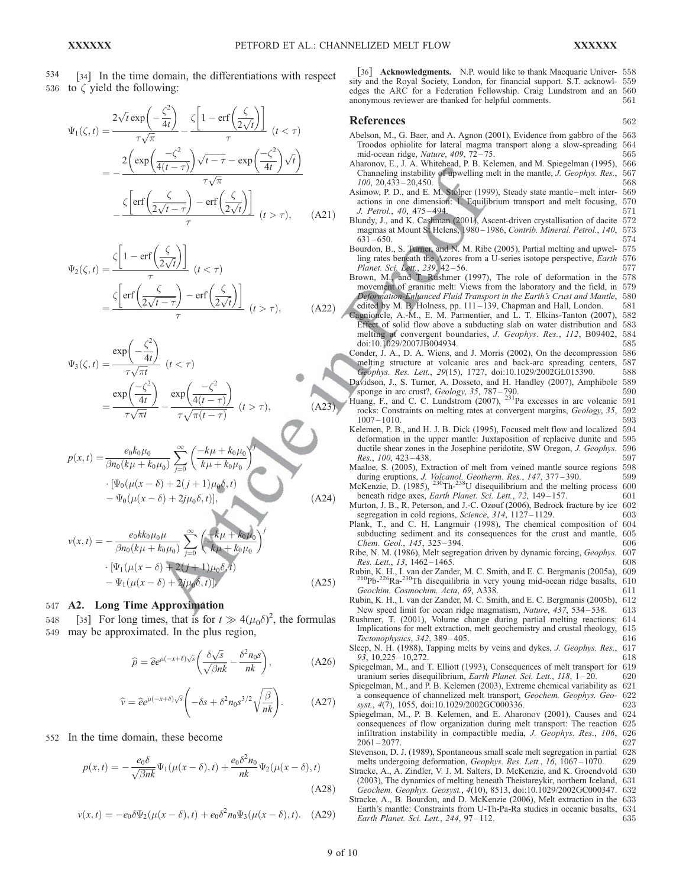534 [34] In the time domain, the differentiations with respect 536 to  $\zeta$  yield the following:

$$
\Psi_1(\zeta, t) = \frac{2\sqrt{t}\exp\left(-\frac{\zeta^2}{4t}\right)}{\tau\sqrt{\pi}} - \frac{\zeta\left[1 - \text{erf}\left(\frac{\zeta}{2\sqrt{t}}\right)\right]}{\tau} \quad (t < \tau)
$$
\n
$$
= -\frac{2\left(\exp\left(\frac{-\zeta^2}{4(t-\tau)}\right)\sqrt{t-\tau} - \exp\left(\frac{-\zeta^2}{4t}\right)\sqrt{t}\right)}{\tau\sqrt{\pi}}
$$
\n
$$
-\frac{\zeta\left[\text{erf}\left(\frac{\zeta}{2\sqrt{t-\tau}}\right) - \text{erf}\left(\frac{\zeta}{2\sqrt{t}}\right)\right]}{\tau} \quad (t > \tau), \qquad \text{(A21)}
$$

$$
\Psi_2(\zeta, t) = \frac{\zeta \left[ 1 - \text{erf}\left(\frac{\zeta}{2\sqrt{t}}\right) \right]}{\tau} \quad (t < \tau)
$$
\n
$$
= \frac{\zeta \left[ \text{erf}\left(\frac{\zeta}{2\sqrt{t - \tau}}\right) - \text{erf}\left(\frac{\zeta}{2\sqrt{t}}\right) \right]}{\tau} \quad (t > \tau), \tag{A22}
$$

$$
\Psi_3(\zeta, t) = \frac{\exp\left(-\frac{\zeta^2}{4t}\right)}{\tau\sqrt{\pi t}} \quad (t < \tau)
$$
\n
$$
= \frac{\exp\left(\frac{-\zeta^2}{4t}\right)}{\tau\sqrt{\pi t}} - \frac{\exp\left(\frac{-\zeta^2}{4(t-\tau)}\right)}{\tau\sqrt{\pi(t-\tau)}} \quad (t > \tau), \tag{A23}
$$

$$
p(x,t) = \frac{e_0 k_0 \mu_0}{\beta n_0 (k\mu + k_0 \mu_0)} \sum_{j=0}^{\infty} \left( \frac{-k\mu + k_0 \mu_0}{k\mu + k_0 \mu_0} \right)
$$
  
 
$$
\cdot \left[ \Psi_0(\mu(x-\delta) + 2(j+1)\mu_0 \delta, t) - \Psi_0(\mu(x-\delta) + 2j\mu_0 \delta, t) \right],
$$
 (A24)

$$
v(x,t) = -\frac{e_0 k k_0 \mu_0 \mu}{\beta n_0 (k \mu + k_0 \mu_0)} \sum_{j=0}^{\infty} \left( \frac{-k \mu + k_0 \mu_0}{k \mu + k_0 \mu_0} \right)^j
$$

$$
\cdot \left[ \Psi_1(\mu(x - \delta) + 2(j + 1)\mu_0 \delta, t) - \Psi_1(\mu(x - \delta) + 2j\mu_0 \delta, t) \right] \tag{A25}
$$

# 547 A2. Long Time Approximation

548 [35] For long times, that is for  $t \gg 4(\mu_0 \delta)^2$ , the formulas 549 may be approximated. In the plus region,

$$
\widehat{p} = \widehat{e}e^{\mu(-x+\delta)\sqrt{s}} \left(\frac{\delta\sqrt{s}}{\sqrt{\beta n k}} - \frac{\delta^2 n_0 s}{nk}\right),\tag{A26}
$$

$$
\widehat{v} = \widehat{e}e^{\mu(-x+\delta)\sqrt{s}} \left(-\delta s + \delta^2 n_0 s^{3/2} \sqrt{\frac{\beta}{nk}}\right). \tag{A27}
$$

552 In the time domain, these become

$$
p(x,t) = -\frac{e_0 \delta}{\sqrt{\beta n k}} \Psi_1(\mu(x-\delta),t) + \frac{e_0 \delta^2 n_0}{nk} \Psi_2(\mu(x-\delta),t)
$$
\n(A28)

$$
v(x,t) = -e_0 \delta \Psi_2(\mu(x-\delta),t) + e_0 \delta^2 n_0 \Psi_3(\mu(x-\delta),t). \quad (A29)
$$

[36] Acknowledgments. N.P. would like to thank Macquarie Univer- 558 sity and the Royal Society, London, for financial support. S.T. acknowl- 559 edges the ARC for a Federation Fellowship. Craig Lundstrom and an 560 anonymous reviewer are thanked for helpful comments. 561 anonymous reviewer are thanked for helpful comments.

#### References 562

| Abelson, M., G. Baer, and A. Agnon (2001), Evidence from gabbro of the                                                                                                                                                                 | -563                     |
|----------------------------------------------------------------------------------------------------------------------------------------------------------------------------------------------------------------------------------------|--------------------------|
| Troodos ophiolite for lateral magma transport along a slow-spreading                                                                                                                                                                   | 564                      |
| mid-ocean ridge, <i>Nature</i> , $409$ , $72-75$ .                                                                                                                                                                                     | 565                      |
| Aharonov, E., J. A. Whitehead, P. B. Kelemen, and M. Spiegelman (1995),                                                                                                                                                                | 566                      |
| Channeling instability of upwelling melt in the mantle, <i>J. Geophys. Res.</i> ,                                                                                                                                                      | 567                      |
| $100, 20,433 - 20,450.$                                                                                                                                                                                                                | 568                      |
| Asimow, P. D., and E. M. Stolper (1999), Steady state mantle–melt inter-                                                                                                                                                               | 569                      |
| actions in one dimension: 1. Equilibrium transport and melt focusing,                                                                                                                                                                  | 570                      |
| J. Petrol., 40, 475–494.                                                                                                                                                                                                               | 571                      |
| Blundy, J., and K. Cashman (2001), Ascent-driven crystallisation of dacite                                                                                                                                                             | 572                      |
| magmas at Mount St Helens, 1980–1986, Contrib. Mineral. Petrol., 140,                                                                                                                                                                  | 573                      |
| $631 - 650.$<br>Bourdon, B., S. Turner, and N. M. Ribe (2005), Partial melting and upwel-<br>ling rates beneath the Azores from a U-series isotope perspective, Earth                                                                  | 574<br>575<br>576<br>577 |
| Planet. Sci. Lett., 239, 42-56.<br>Brown, M., and T. Rushmer (1997), The role of deformation in the<br>movement of granitic melt: Views from the laboratory and the field, in                                                          | 578<br>579               |
| Deformation-Enhanced Fluid Transport in the Earth's Crust and Mantle,                                                                                                                                                                  | 580                      |
| edited by M. B. Holness, pp. 111–139, Chapman and Hall, London.                                                                                                                                                                        | 581                      |
| Cagnioncle, A.-M., E. M. Parmentier, and L. T. Elkins-Tanton (2007),                                                                                                                                                                   | 582                      |
| Effect of solid flow above a subducting slab on water distribution and                                                                                                                                                                 | 583                      |
| melting at convergent boundaries, <i>J. Geophys. Res.</i> , 112, B09402,                                                                                                                                                               | 584                      |
| doi:10.1029/2007JB004934.                                                                                                                                                                                                              | 585                      |
| Conder, J. A., D. A. Wiens, and J. Morris (2002), On the decompression                                                                                                                                                                 | 586                      |
| melting structure at volcanic arcs and back-arc spreading centers,                                                                                                                                                                     | 587                      |
| Geophys. Res. Lett., 29(15), 1727, doi:10.1029/2002GL015390.                                                                                                                                                                           | 588                      |
| Davidson, J., S. Turner, A. Dosseto, and H. Handley (2007), Amphibole                                                                                                                                                                  | 589                      |
| sponge in arc crust?, Geology, 35, 787-790.                                                                                                                                                                                            | 590                      |
| Huang, F., and C. C. Lundstrom (2007), <sup>231</sup> Pa excesses in arc volcanic                                                                                                                                                      | 591                      |
| rocks: Constraints on melting rates at convergent margins, <i>Geology</i> , 35,                                                                                                                                                        | 592                      |
| $1007 - 1010.$                                                                                                                                                                                                                         | 593                      |
| Kelemen, P. B., and H. J. B. Dick (1995), Focused melt flow and localized                                                                                                                                                              | 594                      |
| deformation in the upper mantle: Juxtaposition of replacive dunite and                                                                                                                                                                 | 595                      |
| ductile shear zones in the Josephine peridotite, SW Oregon, J. Geophys.                                                                                                                                                                | 596                      |
| Res., 100, 423–438.                                                                                                                                                                                                                    | 597                      |
| Maaloe, S. (2005), Extraction of melt from veined mantle source regions                                                                                                                                                                | 598                      |
| during eruptions, <i>J. Volcanol. Geotherm. Res.</i> , 147, 377–390.                                                                                                                                                                   | 599                      |
| McKenzie, D. (1985), $^{230}$ Th- $^{238}$ U disequilibrium and the melting process                                                                                                                                                    | 600                      |
| beneath ridge axes, <i>Earth Planet. Sci. Lett.</i> , 72, 149–157.                                                                                                                                                                     | 601                      |
| Murton, J. B., R. Peterson, and J.-C. Ozouf (2006), Bedrock fracture by ice                                                                                                                                                            | 602                      |
| segregation in cold regions, <i>Science</i> , 314, 1127–1129.                                                                                                                                                                          | 603                      |
| Plank, T., and C. H. Langmuir (1998), The chemical composition of                                                                                                                                                                      | 604                      |
| subducting sediment and its consequences for the crust and mantle,                                                                                                                                                                     | 605                      |
| Chem. Geol., 145, 325–394.                                                                                                                                                                                                             | 606                      |
| Ribe, N. M. (1986), Melt segregation driven by dynamic forcing, <i>Geophys</i> .                                                                                                                                                       | 607                      |
| Res. Lett., 13, 1462–1465.                                                                                                                                                                                                             | 608                      |
| Rubin, K. H., I. van der Zander, M. C. Smith, and E. C. Bergmanis (2005a),                                                                                                                                                             | 609                      |
| <sup>210</sup> Pb- <sup>226</sup> Ra- <sup>230</sup> Th disequilibria in very young mid-ocean ridge basalts,                                                                                                                           | 610                      |
| Geochim. Cosmochim. Acta, 69, A338.                                                                                                                                                                                                    | 611                      |
| Rubin, K. H., I. van der Zander, M. C. Smith, and E. C. Bergmanis (2005b),                                                                                                                                                             | 612                      |
| New speed limit for ocean ridge magmatism, <i>Nature</i> , 437, 534–538.                                                                                                                                                               | 613                      |
| Rushmer, T. (2001), Volume change during partial melting reactions:                                                                                                                                                                    | 614                      |
| Implications for melt extraction, melt geochemistry and crustal rheology,                                                                                                                                                              | 615                      |
| <i>Tectonophysics</i> , 342, 389–405.                                                                                                                                                                                                  | 616                      |
| Sleep, N. H. (1988), Tapping melts by veins and dykes, <i>J. Geophys. Res.</i> ,                                                                                                                                                       | 617                      |
| $93, 10,225 - 10,272.$                                                                                                                                                                                                                 | 618                      |
| Spiegelman, M., and T. Elliott (1993), Consequences of melt transport for                                                                                                                                                              | 619                      |
| uranium series disequilibrium, <i>Earth Planet. Sci. Lett.</i> , 118, 1–20.                                                                                                                                                            | 620                      |
| Spiegelman, M., and P. B. Kelemen (2003), Extreme chemical variability as                                                                                                                                                              | 621                      |
| a consequence of channelized melt transport, <i>Geochem. Geophys. Geo-</i>                                                                                                                                                             | 622                      |
| syst., 4(7), 1055, doi:10.1029/2002GC000336.                                                                                                                                                                                           | 623                      |
| Spiegelman, M., P. B. Kelemen, and E. Aharonov (2001), Causes and 624<br>consequences of flow organization during melt transport: The reaction<br>infiltration instability in compactible media, J. Geophys. Res., 106,                | 625<br>626               |
| $2061 - 2077.$<br>Stevenson, D. J. (1989), Spontaneous small scale melt segregation in partial 628                                                                                                                                     | 627                      |
| melts undergoing deformation, <i>Geophys. Res. Lett.</i> , 16, 1067–1070.<br>Stracke, A., A. Zindler, V. J. M. Salters, D. McKenzie, and K. Groendvold 630<br>(2003), The dynamics of melting beneath Theistareykir, northern Iceland, | 629<br>631               |
| Geochem. Geophys. Geosyst., 4(10), 8513, doi:10.1029/2002GC000347.                                                                                                                                                                     | 632                      |
| Stracke, A., B. Bourdon, and D. McKenzie (2006), Melt extraction in the                                                                                                                                                                | 633                      |
| Earth's mantle: Constraints from U-Th-Pa-Ra studies in oceanic basalts,                                                                                                                                                                | 634                      |
| Earth Planet. Sci. Lett., 244, 97–112.                                                                                                                                                                                                 | 635                      |